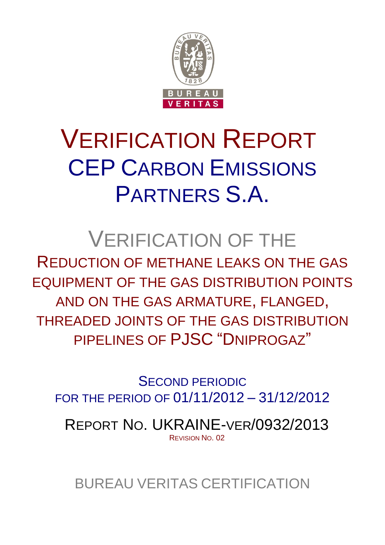

# VERIFICATION REPORT CEP CARBON EMISSIONS PARTNERS S.A.

## VERIFICATION OF THE

REDUCTION OF METHANE LEAKS ON THE GAS EQUIPMENT OF THE GAS DISTRIBUTION POINTS AND ON THE GAS ARMATURE, FLANGED, THREADED JOINTS OF THE GAS DISTRIBUTION PIPELINES OF PJSC "DNIPROGAZ"

SECOND PERIODIC FOR THE PERIOD OF 01/11/2012 – 31/12/2012

REPORT NO. UKRAINE-VER/0932/2013 REVISION NO. 02

BUREAU VERITAS CERTIFICATION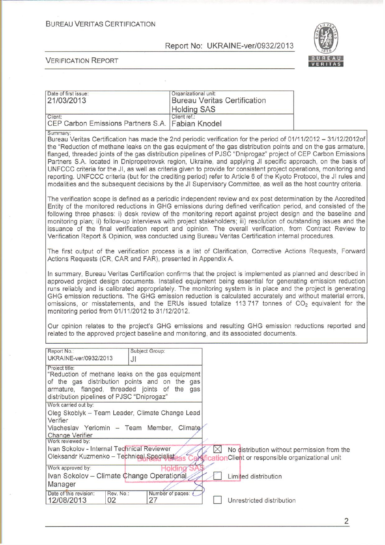**BUREAU VERITAS CERTIFICATION** 

Report No: UKRAINE-ver/0932/2013

Organizational unit:



**VERIFICATION REPORT** 

Date of first issue:

|                                                                                                                                                                                                                                                                                                                                                                                                                                                                                                                                                                                                                                | 21/03/2013                                                                                                                                                                                                                                                                                                                                                                                                                                                                                                                                                                                                                                                                                                                                                                                                                                   | <b>Bureau Veritas Certification</b><br><b>Holding SAS</b> |                                                          |                                             |
|--------------------------------------------------------------------------------------------------------------------------------------------------------------------------------------------------------------------------------------------------------------------------------------------------------------------------------------------------------------------------------------------------------------------------------------------------------------------------------------------------------------------------------------------------------------------------------------------------------------------------------|----------------------------------------------------------------------------------------------------------------------------------------------------------------------------------------------------------------------------------------------------------------------------------------------------------------------------------------------------------------------------------------------------------------------------------------------------------------------------------------------------------------------------------------------------------------------------------------------------------------------------------------------------------------------------------------------------------------------------------------------------------------------------------------------------------------------------------------------|-----------------------------------------------------------|----------------------------------------------------------|---------------------------------------------|
|                                                                                                                                                                                                                                                                                                                                                                                                                                                                                                                                                                                                                                | Client:<br>CEP Carbon Emissions Partners S.A.                                                                                                                                                                                                                                                                                                                                                                                                                                                                                                                                                                                                                                                                                                                                                                                                | Client ref.:<br><b>Fabian Knodel</b>                      |                                                          |                                             |
|                                                                                                                                                                                                                                                                                                                                                                                                                                                                                                                                                                                                                                | Summary:<br>Bureau Veritas Certification has made the 2nd periodic verification for the period of 01/11/2012 - 31/12/2012of<br>the "Reduction of methane leaks on the gas equipment of the gas distribution points and on the gas armature,<br>flanged, threaded joints of the gas distribution pipelines of PJSC "Dniprogaz" project of CEP Carbon Emissions<br>Partners S.A. located in Dnipropetrovsk region, Ukraine, and applying JI specific approach, on the basis of<br>UNFCCC criteria for the JI, as well as criteria given to provide for consistent project operations, monitoring and<br>reporting. UNFCCC criteria (but for the crediting period) refer to Article 6 of the Kyoto Protocol, the JI rules and<br>modalities and the subsequent decisions by the JI Supervisory Committee, as well as the host country criteria. |                                                           |                                                          |                                             |
|                                                                                                                                                                                                                                                                                                                                                                                                                                                                                                                                                                                                                                | The verification scope is defined as a periodic independent review and ex post determination by the Accredited<br>Entity of the monitored reductions in GHG emissions during defined verification period, and consisted of the<br>following three phases: i) desk review of the monitoring report against project design and the baseline and<br>monitoring plan; ii) follow-up interviews with project stakeholders; iii) resolution of outstanding issues and the<br>issuance of the final verification report and opinion. The overall verification, from Contract Review to<br>Verification Report & Opinion, was conducted using Bureau Veritas Certification internal procedures.                                                                                                                                                      |                                                           |                                                          |                                             |
|                                                                                                                                                                                                                                                                                                                                                                                                                                                                                                                                                                                                                                | The first output of the verification process is a list of Clarification, Corrective Actions Requests, Forward<br>Actions Requests (CR, CAR and FAR), presented in Appendix A.                                                                                                                                                                                                                                                                                                                                                                                                                                                                                                                                                                                                                                                                |                                                           |                                                          |                                             |
| In summary, Bureau Veritas Certification confirms that the project is implemented as planned and described in<br>approved project design documents. Installed equipment being essential for generating emission reduction<br>runs reliably and is calibrated appropriately. The monitoring system is in place and the project is generating<br>GHG emission reductions. The GHG emission reduction is calculated accurately and without material errors,<br>omissions, or misstatements, and the ERUs issued totalize 113 717 tonnes of CO <sub>2</sub> equivalent for the<br>monitoring period from 01/11/2012 to 31/12/2012. |                                                                                                                                                                                                                                                                                                                                                                                                                                                                                                                                                                                                                                                                                                                                                                                                                                              |                                                           |                                                          |                                             |
|                                                                                                                                                                                                                                                                                                                                                                                                                                                                                                                                                                                                                                | Our opinion relates to the project's GHG emissions and resulting GHG emission reductions reported and<br>related to the approved project baseline and monitoring, and its associated documents.                                                                                                                                                                                                                                                                                                                                                                                                                                                                                                                                                                                                                                              |                                                           |                                                          |                                             |
|                                                                                                                                                                                                                                                                                                                                                                                                                                                                                                                                                                                                                                | Report No.:<br>Subject Group:<br>UKRAINE-ver/0932/2013<br>JI                                                                                                                                                                                                                                                                                                                                                                                                                                                                                                                                                                                                                                                                                                                                                                                 |                                                           |                                                          |                                             |
|                                                                                                                                                                                                                                                                                                                                                                                                                                                                                                                                                                                                                                | Project title:<br>"Reduction of methane leaks on the gas equipment<br>of the gas distribution points and on the gas<br>armature, flanged, threaded joints of the gas<br>distribution pipelines of PJSC "Dniprogaz"                                                                                                                                                                                                                                                                                                                                                                                                                                                                                                                                                                                                                           |                                                           |                                                          |                                             |
|                                                                                                                                                                                                                                                                                                                                                                                                                                                                                                                                                                                                                                | Work carried out by:<br>Oleg Skoblyk - Team Leader, Climate Change Lead<br>Verifier                                                                                                                                                                                                                                                                                                                                                                                                                                                                                                                                                                                                                                                                                                                                                          |                                                           |                                                          |                                             |
|                                                                                                                                                                                                                                                                                                                                                                                                                                                                                                                                                                                                                                | Viacheslav Yeriomin - Team Member, Climate<br><b>Change Verifier</b><br>Work reviewed by:                                                                                                                                                                                                                                                                                                                                                                                                                                                                                                                                                                                                                                                                                                                                                    |                                                           |                                                          |                                             |
|                                                                                                                                                                                                                                                                                                                                                                                                                                                                                                                                                                                                                                | Ivan Sokolov - Internal Technical Reviewer<br>Oleksandr Kuzmenko - Technical Specialistikas                                                                                                                                                                                                                                                                                                                                                                                                                                                                                                                                                                                                                                                                                                                                                  | $\boxtimes$<br>$\mathbb{R}$                               | <b>ficationClient</b> or responsible organizational unit | No distribution without permission from the |
|                                                                                                                                                                                                                                                                                                                                                                                                                                                                                                                                                                                                                                | Work approved by:<br>Ivan Sokolov - Climate Change Operational<br>Manager                                                                                                                                                                                                                                                                                                                                                                                                                                                                                                                                                                                                                                                                                                                                                                    | Holdina                                                   | Limited distribution                                     |                                             |
|                                                                                                                                                                                                                                                                                                                                                                                                                                                                                                                                                                                                                                | Date of this revision:<br>Number of pages:<br>Rev. No.:<br>27<br>12/08/2013<br>02                                                                                                                                                                                                                                                                                                                                                                                                                                                                                                                                                                                                                                                                                                                                                            |                                                           | Unrestricted distribution                                |                                             |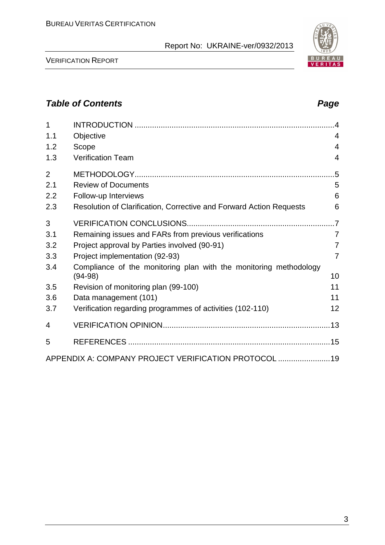VERIFICATION REPORT

| 1              |                                                                     | .4             |
|----------------|---------------------------------------------------------------------|----------------|
| 1.1            | Objective                                                           | 4              |
| 1.2            | Scope                                                               | 4              |
| 1.3            | <b>Verification Team</b>                                            | 4              |
| $\overline{2}$ |                                                                     | .5             |
| 2.1            | <b>Review of Documents</b>                                          | 5              |
| 2.2            | Follow-up Interviews                                                | 6              |
| 2.3            | Resolution of Clarification, Corrective and Forward Action Requests | 6              |
| 3              |                                                                     | $\overline{7}$ |
| 3.1            | Remaining issues and FARs from previous verifications               | $\overline{7}$ |
| 3.2            | Project approval by Parties involved (90-91)                        | $\overline{7}$ |
| 3.3            | Project implementation (92-93)                                      | 7              |
| 3.4            | Compliance of the monitoring plan with the monitoring methodology   |                |
|                | $(94-98)$                                                           | 10             |
| 3.5            | Revision of monitoring plan (99-100)                                | 11             |
| 3.6            | Data management (101)                                               | 11             |
| 3.7            | Verification regarding programmes of activities (102-110)           | 12             |
| 4              |                                                                     |                |
| 5              |                                                                     |                |
|                | APPENDIX A: COMPANY PROJECT VERIFICATION PROTOCOL  19               |                |

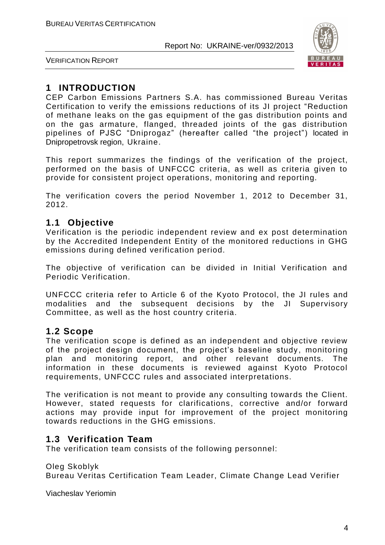

VERIFICATION REPORT

### **1 INTRODUCTION**

CEP Carbon Emissions Partners S.A. has commissioned Bureau Veritas Certification to verify the emissions reductions of its JI project "Reduction of methane leaks on the gas equipment of the gas distribution points and on the gas armature, flanged, threaded joints of the gas distribution pipelines of PJSC "Dniprogaz" (hereafter called "the project") located in Dnipropetrovsk region, Ukraine.

This report summarizes the findings of the verification of the project, performed on the basis of UNFCCC criteria, as well as criteria given to provide for consistent project operations, monitoring and reporting.

The verification covers the period November 1, 2012 to December 31, 2012.

#### **1.1 Objective**

Verification is the periodic independent review and ex post determination by the Accredited Independent Entity of the monitored reductions in GHG emissions during defined verification period.

The objective of verification can be divided in Initial Verification and Periodic Verification.

UNFCCC criteria refer to Article 6 of the Kyoto Protocol, the JI rules and modalities and the subsequent decisions by the JI Supervisory Committee, as well as the host country criteria.

#### **1.2 Scope**

The verification scope is defined as an independent and objective review of the project design document, the project's baseline study, monitoring plan and monitoring report, and other relevant documents. The information in these documents is reviewed against Kyoto Protocol requirements, UNFCCC rules and associated interpretations.

The verification is not meant to provide any consulting towards the Client. However, stated requests for clarifications, corrective and/or forward actions may provide input for improvement of the project monitoring towards reductions in the GHG emissions.

#### **1.3 Verification Team**

The verification team consists of the following personnel:

Oleg Skoblyk

Bureau Veritas Certification Team Leader, Climate Change Lead Verifier

Viacheslav Yeriomin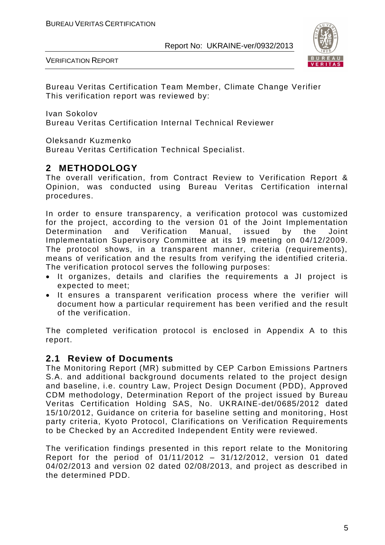

VERIFICATION REPORT

Bureau Veritas Certification Team Member, Climate Change Verifier This verification report was reviewed by:

Ivan Sokolov

Bureau Veritas Certification Internal Technical Reviewer

Oleksandr Kuzmenko

Bureau Veritas Certification Technical Specialist.

#### **2 METHODOLOGY**

The overall verification, from Contract Review to Verification Report & Opinion, was conducted using Bureau Veritas Certification internal procedures.

In order to ensure transparency, a verification protocol was customized for the project, according to the version 01 of the Joint Implementation Determination and Verification Manual, issued by the Joint Implementation Supervisory Committee at its 19 meeting on 04/12/2009. The protocol shows, in a transparent manner, criteria (requirements), means of verification and the results from verifying the identified criteria. The verification protocol serves the following purposes:

- It organizes, details and clarifies the requirements a JI project is expected to meet;
- It ensures a transparent verification process where the verifier will document how a particular requirement has been verified and the result of the verification.

The completed verification protocol is enclosed in Appendix A to this report.

#### **2.1 Review of Documents**

The Monitoring Report (MR) submitted by CEP Carbon Emissions Partners S.A. and additional background documents related to the project design and baseline, i.e. country Law, Project Design Document (PDD), Approved CDM methodology, Determination Report of the project issued by Bureau Veritas Certification Holding SAS, No. UKRAINE-det/0685/2012 dated 15/10/2012, Guidance on criteria for baseline setting and monitoring, Host party criteria, Kyoto Protocol, Clarifications on Verification Requirements to be Checked by an Accredited Independent Entity were reviewed.

The verification findings presented in this report relate to the Monitoring Report for the period of 01/11/2012 – 31/12/2012, version 01 dated 04/02/2013 and version 02 dated 02/08/2013, and project as described in the determined PDD.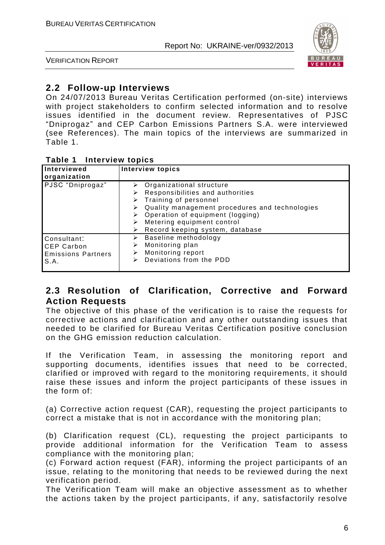

VERIFICATION REPORT

#### **2.2 Follow-up Interviews**

On 24/07/2013 Bureau Veritas Certification performed (on-site) interviews with project stakeholders to confirm selected information and to resolve issues identified in the document review. Representatives of PJSC "Dniprogaz" and CEP Carbon Emissions Partners S.A. were interviewed (see References). The main topics of the interviews are summarized in Table 1.

#### **Table 1 Interview topics**

| Interviewed<br>organization                                           | <b>Interview topics</b>                                                                                                                                                                                                                                                                  |
|-----------------------------------------------------------------------|------------------------------------------------------------------------------------------------------------------------------------------------------------------------------------------------------------------------------------------------------------------------------------------|
| PJSC "Dniprogaz"                                                      | $\triangleright$ Organizational structure<br>Responsibilities and authorities<br>$\triangleright$ Training of personnel<br>Quality management procedures and technologies<br>⋗<br>Operation of equipment (logging)<br>Metering equipment control<br>Record keeping system, database<br>➤ |
| Consultant:<br><b>CEP Carbon</b><br><b>Emissions Partners</b><br>S.A. | Baseline methodology<br>⋗<br>Monitoring plan<br>⋗<br>Monitoring report<br>⋗<br>Deviations from the PDD<br>⋗                                                                                                                                                                              |

#### **2.3 Resolution of Clarification, Corrective and Forward Action Requests**

The objective of this phase of the verification is to raise the requests for corrective actions and clarification and any other outstanding issues that needed to be clarified for Bureau Veritas Certification positive conclusion on the GHG emission reduction calculation.

If the Verification Team, in assessing the monitoring report and supporting documents, identifies issues that need to be corrected, clarified or improved with regard to the monitoring requirements, it should raise these issues and inform the project participants of these issues in the form of:

(a) Corrective action request (CAR), requesting the project participants to correct a mistake that is not in accordance with the monitoring plan;

(b) Clarification request (CL), requesting the project participants to provide additional information for the Verification Team to assess compliance with the monitoring plan;

(c) Forward action request (FAR), informing the project participants of an issue, relating to the monitoring that needs to be reviewed during the next verification period.

The Verification Team will make an objective assessment as to whether the actions taken by the project participants, if any, satisfactorily resolve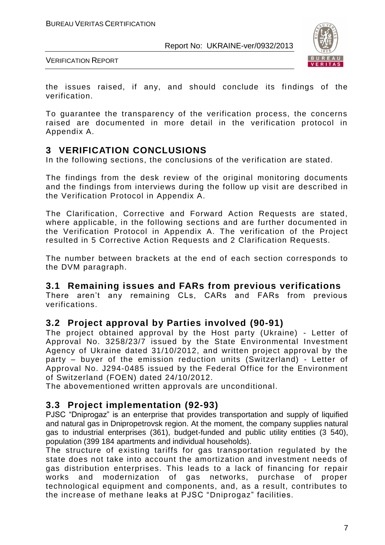

VERIFICATION REPORT

the issues raised, if any, and should conclude its findings of the verification.

To guarantee the transparency of the verification process, the concerns raised are documented in more detail in the verification protocol in Appendix A.

#### **3 VERIFICATION CONCLUSIONS**

In the following sections, the conclusions of the verification are stated.

The findings from the desk review of the original monitoring documents and the findings from interviews during the follow up visit are described in the Verification Protocol in Appendix A.

The Clarification, Corrective and Forward Action Requests are stated, where applicable, in the following sections and are further documented in the Verification Protocol in Appendix A. The verification of the Project resulted in 5 Corrective Action Requests and 2 Clarification Requests.

The number between brackets at the end of each section corresponds to the DVM paragraph.

#### **3.1 Remaining issues and FARs from previous verifications**

There aren't any remaining CLs, CARs and FARs from previous verifications.

#### **3.2 Project approval by Parties involved (90-91)**

The project obtained approval by the Host party (Ukraine) - Letter of Approval No. 3258/23/7 issued by the State Environmental Investment Agency of Ukraine dated 31/10/2012, and written project approval by the party – buyer of the emission reduction units (Switzerland) - Letter of Approval No. J294-0485 issued by the Federal Office for the Environment of Switzerland (FOEN) dated 24/10/2012.

The abovementioned written approvals are unconditional.

#### **3.3 Project implementation (92-93)**

PJSC "Dniprogaz" is an enterprise that provides transportation and supply of liquified and natural gas in Dnipropetrovsk region. At the moment, the company supplies natural gas to industrial enterprises (361), budget-funded and public utility entities (3 540), population (399 184 apartments and individual households).

The structure of existing tariffs for gas transportation regulated by the state does not take into account the amortization and investment needs of gas distribution enterprises. This leads to a lack of financing for repair works and modernization of gas networks, purchase of proper technological equipment and components, and, as a result, contributes to the increase of methane leaks at PJSC "Dniprogaz" facilities.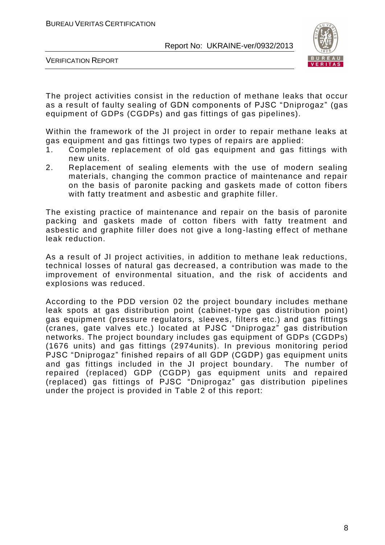

VERIFICATION REPORT

The project activities consist in the reduction of methane leaks that occur as a result of faulty sealing of GDN components of PJSC "Dniprogaz" (gas equipment of GDPs (CGDPs) and gas fittings of gas pipelines).

Within the framework of the JI project in order to repair methane leaks at gas equipment and gas fittings two types of repairs are applied:

- 1. Complete replacement of old gas equipment and gas fittings with new units.
- 2. Replacement of sealing elements with the use of modern sealing materials, changing the common practice of maintenance and repair on the basis of paronite packing and gaskets made of cotton fibers with fatty treatment and asbestic and graphite filler.

The existing practice of maintenance and repair on the basis of paronite packing and gaskets made of cotton fibers with fatty treatment and asbestic and graphite filler does not give a long-lasting effect of methane leak reduction.

As a result of JI project activities, in addition to methane leak reductions, technical losses of natural gas decreased, a contribution was made to the improvement of environmental situation, and the risk of accidents and explosions was reduced.

According to the PDD version 02 the project boundary includes methane leak spots at gas distribution point (cabinet-type gas distribution point) gas equipment (pressure regulators, sleeves, filters etc.) and gas fittings (cranes, gate valves etc.) located at PJSC "Dniprogaz" gas distribution networks. The project boundary includes gas equipment of GDPs (CGDPs) (1676 units) and gas fittings (2974units). In previous monitoring period PJSC "Dniprogaz" finished repairs of all GDP (CGDP) gas equipment units and gas fittings included in the JI project boundary. The number of repaired (replaced) GDP (CGDP) gas equipment units and repaired (replaced) gas fittings of PJSC "Dniprogaz" gas distribution pipelines under the project is provided in Table 2 of this report: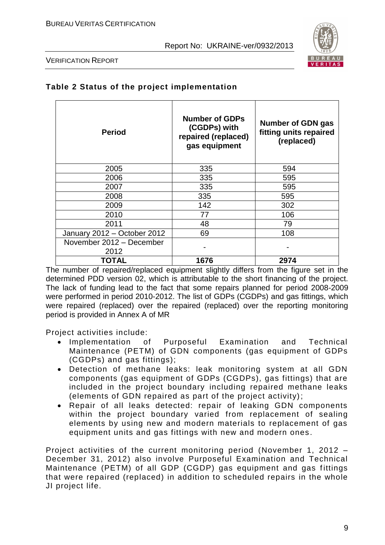

VERIFICATION REPORT

| <b>Period</b>                    | <b>Number of GDPs</b><br>(CGDPs) with<br>repaired (replaced)<br>gas equipment | <b>Number of GDN gas</b><br>fitting units repaired<br>(replaced) |
|----------------------------------|-------------------------------------------------------------------------------|------------------------------------------------------------------|
| 2005                             | 335                                                                           | 594                                                              |
| 2006                             | 335                                                                           | 595                                                              |
| 2007                             | 335                                                                           | 595                                                              |
| 2008                             | 335                                                                           | 595                                                              |
| 2009                             | 142                                                                           | 302                                                              |
| 2010                             | 77                                                                            | 106                                                              |
| 2011                             | 48                                                                            | 79                                                               |
| January 2012 - October 2012      | 69                                                                            | 108                                                              |
| November 2012 - December<br>2012 |                                                                               |                                                                  |
| TOTAL                            | 1676                                                                          | 2974                                                             |

#### **Table 2 Status of the project implementation**

The number of repaired/replaced equipment slightly differs from the figure set in the determined PDD version 02, which is attributable to the short financing of the project. The lack of funding lead to the fact that some repairs planned for period 2008-2009 were performed in period 2010-2012. The list of GDPs (CGDPs) and gas fittings, which were repaired (replaced) over the repaired (replaced) over the reporting monitoring period is provided in Annex A of MR

Project activities include:

- Implementation of Purposeful Examination and Technical Maintenance (PETM) of GDN components (gas equipment of GDPs (CGDPs) and gas fittings);
- Detection of methane leaks: leak monitoring system at all GDN components (gas equipment of GDPs (CGDPs), gas fittings) that are included in the project boundary including repaired methane leaks (elements of GDN repaired as part of the project activity);
- Repair of all leaks detected: repair of leaking GDN components within the project boundary varied from replacement of sealing elements by using new and modern materials to replacement of gas equipment units and gas fittings with new and modern ones .

Project activities of the current monitoring period (November 1, 2012 – December 31, 2012) also involve Purposeful Examination and Technical Maintenance (PETM) of all GDP (CGDP) gas equipment and gas fittings that were repaired (replaced) in addition to scheduled repairs in the whole JI project life.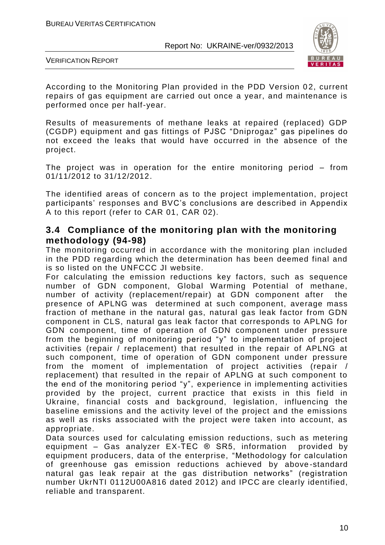

VERIFICATION REPORT

According to the Monitoring Plan provided in the PDD Version 02, current repairs of gas equipment are carried out once a year, and maintenance is performed once per half-year.

Results of measurements of methane leaks at repaired (replaced) GDP (CGDP) equipment and gas fittings of PJSC "Dniprogaz" gas pipelines do not exceed the leaks that would have occurred in the absence of the project.

The project was in operation for the entire monitoring period – from 01/11/2012 to 31/12/2012.

The identified areas of concern as to the project implementation, project participants' responses and BVC's conclusions are described in Appendix A to this report (refer to CAR 01, CAR 02).

#### **3.4 Compliance of the monitoring plan with the monitoring methodology (94-98)**

The monitoring occurred in accordance with the monitoring plan included in the PDD regarding which the determination has been deemed final and is so listed on the UNFCCC JI website.

For calculating the emission reductions key factors, such as sequence number of GDN component, Global Warming Potential of methane, number of activity (replacement/repair) at GDN component after the presence of APLNG was determined at such component, average mass fraction of methane in the natural gas, natural gas leak factor from GDN component in CLS, natural gas leak factor that corresponds to APLNG for GDN component, time of operation of GDN component under pressure from the beginning of monitoring period "y" to implementation of project activities (repair / replacement) that resulted in the repair of APLNG at such component, time of operation of GDN component under pressure from the moment of implementation of project activities (repair / replacement) that resulted in the repair of APLNG at such component to the end of the monitoring period "y", experience in implementing activities provided by the project, current practice that exists in this field in Ukraine, financial costs and background, legislation, influencing the baseline emissions and the activity level of the project and the emissions as well as risks associated with the project were taken into account, as appropriate.

Data sources used for calculating emission reductions, such as metering equipment – Gas analyzer EX-TEC ® SR5, information provided by equipment producers, data of the enterprise, "Methodology for calculation of greenhouse gas emission reductions achieved by above -standard natural gas leak repair at the gas distribution networks" (registration number UkrNTI 0112U00A816 dated 2012) and IPCC are clearly identified, reliable and transparent.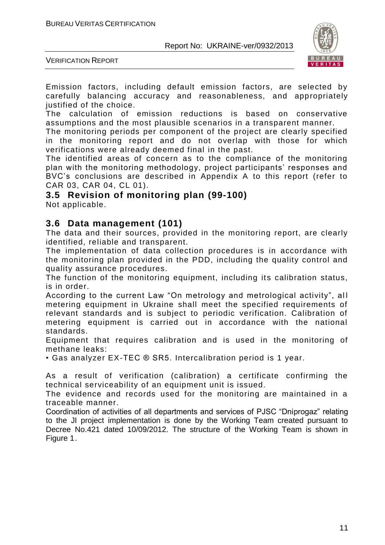

VERIFICATION REPORT

Emission factors, including default emission factors, are selected by carefully balancing accuracy and reasonableness, and appropriately justified of the choice.

The calculation of emission reductions is based on conservative assumptions and the most plausible scenarios in a transparent manner.

The monitoring periods per component of the project are clearly specified in the monitoring report and do not overlap with those for which verifications were already deemed final in the past.

The identified areas of concern as to the compliance of the monitoring plan with the monitoring methodology, project participants' responses and BVC's conclusions are described in Appendix A to this report (refer to CAR 03, CAR 04, CL 01).

#### **3.5 Revision of monitoring plan (99-100)**

Not applicable.

#### **3.6 Data management (101)**

The data and their sources, provided in the monitoring report, are clearly identified, reliable and transparent.

The implementation of data collection procedures is in accordance with the monitoring plan provided in the PDD, including the quality control and quality assurance procedures.

The function of the monitoring equipment, including its calibration status, is in order.

According to the current Law "On metrology and metrological activity", all metering equipment in Ukraine shall meet the specified requirements of relevant standards and is subject to periodic verification. Calibration of metering equipment is carried out in accordance with the national standards.

Equipment that requires calibration and is used in the monitoring of methane leaks:

• Gas analyzer EX-TEC ® SR5. Intercalibration period is 1 year.

As a result of verification (calibration) a certificate confirming the technical serviceability of an equipment unit is issued.

The evidence and records used for the monitoring are maintained in a traceable manner.

Coordination of activities of all departments and services of PJSC "Dniprogaz" relating to the JI project implementation is done by the Working Team created pursuant to Decree No.421 dated 10/09/2012. The structure of the Working Team is shown in Figure 1.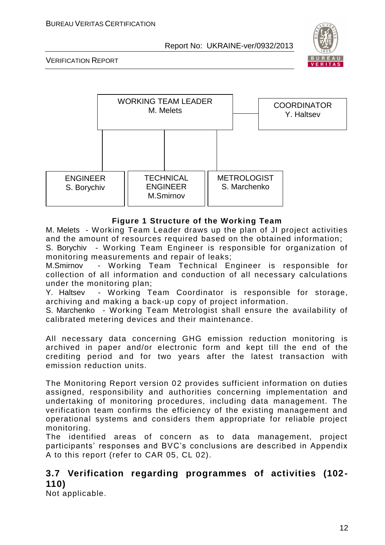

VERIFICATION REPORT



#### **Figure 1 Structure of the Working Team**

M. Melets - Working Team Leader draws up the plan of JI project activities and the amount of resources required based on the obtained information;

S. Borychiv - Working Team Engineer is responsible for organization of monitoring measurements and repair of leaks;

M.Smirnov - Working Team Technical Engineer is responsible for collection of all information and conduction of all necessary calculations under the monitoring plan;

Y. Haltsev - Working Team Coordinator is responsible for storage, archiving and making a back-up copy of project information.

S. Marchenko - Working Team Metrologist shall ensure the availability of calibrated metering devices and their maintenance.

All necessary data concerning GHG emission reduction monitoring is archived in paper and/or electronic form and kept till the end of the crediting period and for two years after the latest transaction with emission reduction units.

The Monitoring Report version 02 provides sufficient information on duties assigned, responsibility and authorities concerning implementation and undertaking of monitoring procedures, including data management. The verification team confirms the efficiency of the existing management and operational systems and considers them appropriate for reliable project monitoring.

The identified areas of concern as to data management, project participants' responses and BVC's conclusions are described in Appendix A to this report (refer to CAR 05, CL 02).

#### **3.7 Verification regarding programmes of activities (102- 110)**

Not applicable.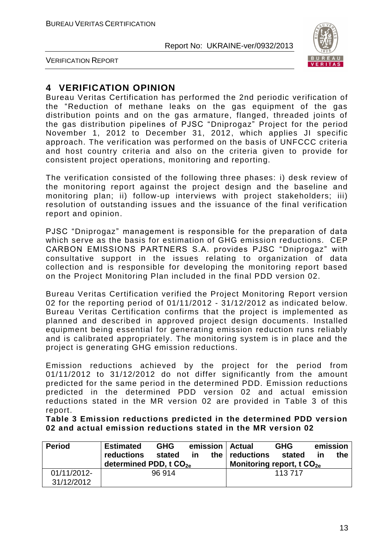

VERIFICATION REPORT

#### **4 VERIFICATION OPINION**

Bureau Veritas Certification has performed the 2nd periodic verification of the "Reduction of methane leaks on the gas equipment of the gas distribution points and on the gas armature, flanged, threaded joints of the gas distribution pipelines of PJSC "Dniprogaz" Project for the period November 1, 2012 to December 31, 2012, which applies JI specific approach. The verification was performed on the basis of UNFCCC criteria and host country criteria and also on the criteria given to provide for consistent project operations, monitoring and reporting.

The verification consisted of the following three phases: i) desk review of the monitoring report against the project design and the baseline and monitoring plan; ii) follow-up interviews with project stakeholders; iii) resolution of outstanding issues and the issuance of the final verification report and opinion.

PJSC "Dniprogaz" management is responsible for the preparation of data which serve as the basis for estimation of GHG emission reductions. CEP CARBON EMISSIONS PARTNERS S.A. provides PJSC "Dniprogaz" with consultative support in the issues relating to organization of data collection and is responsible for developing the monitoring report based on the Project Monitoring Plan included in the final PDD version 02.

Bureau Veritas Certification verified the Project Monitoring Report version 02 for the reporting period of 01/11/2012 - 31/12/2012 as indicated below. Bureau Veritas Certification confirms that the project is implemented as planned and described in approved project design documents. Installed equipment being essential for generating emission reduction runs reliably and is calibrated appropriately. The monitoring system is in place and the project is generating GHG emission reductions.

Emission reductions achieved by the project for the period from 01/11/2012 to 31/12/2012 do not differ significantly from the amount predicted for the same period in the determined PDD. Emission reductions predicted in the determined PDD version 02 and actual emission reductions stated in the MR version 02 are provided in Table 3 of this report.

**Table 3 Emission reductions predicted in the determined PDD version 02 and actual emission reductions stated in the MR version 02**

| <b>Period</b>             | <b>Estimated</b><br><b>reductions</b><br>determined PDD, $tCO_{2e}$ | <b>GHG</b><br>stated | in. | emission   Actual<br>the $ $ reductions<br>Monitoring report, t $CO_{2e}$ | <b>GHG</b><br>stated | ın | emission<br>the |
|---------------------------|---------------------------------------------------------------------|----------------------|-----|---------------------------------------------------------------------------|----------------------|----|-----------------|
| 01/11/2012-<br>31/12/2012 |                                                                     | 96 914               |     |                                                                           | 113 717              |    |                 |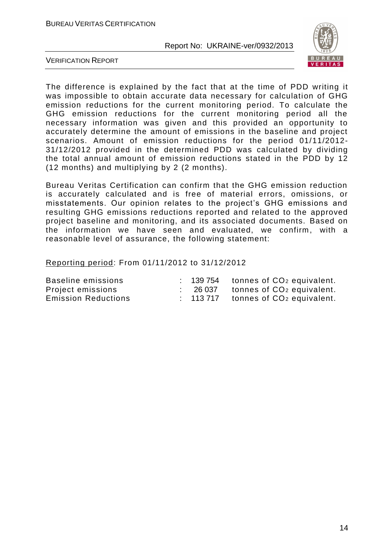

VERIFICATION REPORT

The difference is explained by the fact that at the time of PDD writing it was impossible to obtain accurate data necessary for calculation of GHG emission reductions for the current monitoring period. To calculate the GHG emission reductions for the current monitoring period all the necessary information was given and this provided an opportunity to accurately determine the amount of emissions in the baseline and project scenarios. Amount of emission reductions for the period 01/11/2012- 31/12/2012 provided in the determined PDD was calculated by dividing the total annual amount of emission reductions stated in the PDD by 12 (12 months) and multiplying by 2 (2 months).

Bureau Veritas Certification can confirm that the GHG emission reduction is accurately calculated and is free of material errors, omissions, or misstatements. Our opinion relates to the project's GHG emissions and resulting GHG emissions reductions reported and related to the approved project baseline and monitoring, and its associated documents. Based on the information we have seen and evaluated, we confirm, with a reasonable level of assurance, the following statement:

Reporting period: From 01/11/2012 to 31/12/2012

| Baseline emissions         |        | $: 139754$ tonnes of $CO2$ equivalent. |
|----------------------------|--------|----------------------------------------|
| Project emissions          | 26 037 | tonnes of CO <sub>2</sub> equivalent.  |
| <b>Emission Reductions</b> |        | $: 113717$ tonnes of $CO2$ equivalent. |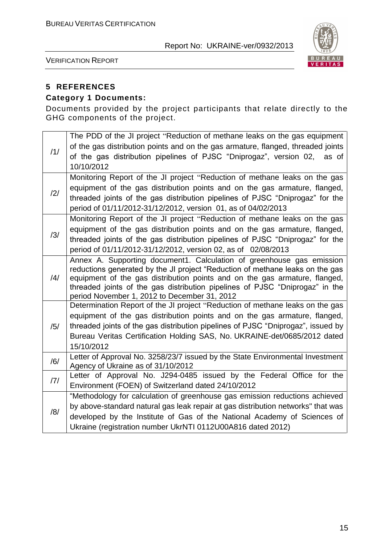

VERIFICATION REPORT

#### **5 REFERENCES**

#### **Category 1 Documents:**

Documents provided by the project participants that relate directly to the GHG components of the project.

| /1/            | The PDD of the JI project "Reduction of methane leaks on the gas equipment<br>of the gas distribution points and on the gas armature, flanged, threaded joints<br>of the gas distribution pipelines of PJSC "Dniprogaz", version 02, as of<br>10/10/2012                                                                                                             |
|----------------|----------------------------------------------------------------------------------------------------------------------------------------------------------------------------------------------------------------------------------------------------------------------------------------------------------------------------------------------------------------------|
| $\frac{12}{1}$ | Monitoring Report of the JI project "Reduction of methane leaks on the gas<br>equipment of the gas distribution points and on the gas armature, flanged,<br>threaded joints of the gas distribution pipelines of PJSC "Dniprogaz" for the<br>period of 01/11/2012-31/12/2012, version 01, as of 04/02/2013                                                           |
| /3/            | Monitoring Report of the JI project "Reduction of methane leaks on the gas<br>equipment of the gas distribution points and on the gas armature, flanged,<br>threaded joints of the gas distribution pipelines of PJSC "Dniprogaz" for the<br>period of 01/11/2012-31/12/2012, version 02, as of 02/08/2013                                                           |
| $\frac{14}{1}$ | Annex A. Supporting document1. Calculation of greenhouse gas emission<br>reductions generated by the JI project "Reduction of methane leaks on the gas<br>equipment of the gas distribution points and on the gas armature, flanged,<br>threaded joints of the gas distribution pipelines of PJSC "Dniprogaz" in the<br>period November 1, 2012 to December 31, 2012 |
| /5/            | Determination Report of the JI project "Reduction of methane leaks on the gas<br>equipment of the gas distribution points and on the gas armature, flanged,<br>threaded joints of the gas distribution pipelines of PJSC "Dniprogaz", issued by<br>Bureau Veritas Certification Holding SAS, No. UKRAINE-det/0685/2012 dated<br>15/10/2012                           |
| /6/            | Letter of Approval No. 3258/23/7 issued by the State Environmental Investment<br>Agency of Ukraine as of 31/10/2012                                                                                                                                                                                                                                                  |
| 7              | Letter of Approval No. J294-0485 issued by the Federal Office for the<br>Environment (FOEN) of Switzerland dated 24/10/2012                                                                                                                                                                                                                                          |
| /8/            | "Methodology for calculation of greenhouse gas emission reductions achieved<br>by above-standard natural gas leak repair at gas distribution networks" that was<br>developed by the Institute of Gas of the National Academy of Sciences of<br>Ukraine (registration number UkrNTI 0112U00A816 dated 2012)                                                           |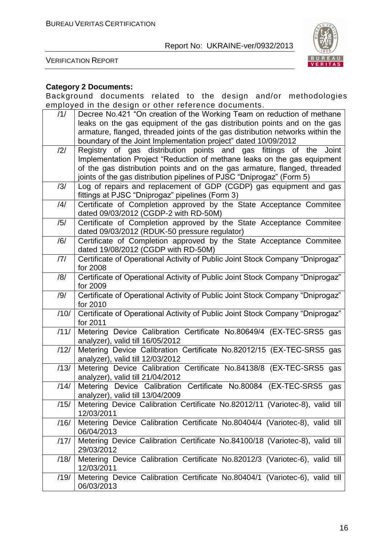

VERIFICATION REPORT

#### **Category 2 Documents:**

Background documents related to the design and/or methodologies employed in the design or other reference documents.

| /1/            | Decree No.421 "On creation of the Working Team on reduction of methane         |
|----------------|--------------------------------------------------------------------------------|
|                | leaks on the gas equipment of the gas distribution points and on the gas       |
|                | armature, flanged, threaded joints of the gas distribution networks within the |
|                | boundary of the Joint Implementation project" dated 10/09/2012                 |
| $\frac{12}{1}$ | Registry of gas distribution points and gas fittings of the<br>Joint           |
|                | Implementation Project "Reduction of methane leaks on the gas equipment        |
|                | of the gas distribution points and on the gas armature, flanged, threaded      |
|                | joints of the gas distribution pipelines of PJSC "Dniprogaz" (Form 5)          |
| /3/            | Log of repairs and replacement of GDP (CGDP) gas equipment and gas             |
|                | fittings at PJSC "Dniprogaz" pipelines (Form 3)                                |
| /4/            | Certificate of Completion approved by the State Acceptance Commitee            |
|                | dated 09/03/2012 (CGDP-2 with RD-50M)                                          |
| /5/            | Certificate of Completion approved by the State Acceptance Commitee            |
|                | dated 09/03/2012 (RDUK-50 pressure regulator)                                  |
| /6/            | Certificate of Completion approved by the State Acceptance Commitee            |
|                | dated 19/08/2012 (CGDP with RD-50M)                                            |
| 7              | Certificate of Operational Activity of Public Joint Stock Company "Dniprogaz"  |
|                | for 2008                                                                       |
| /8/            | Certificate of Operational Activity of Public Joint Stock Company "Dniprogaz"  |
|                | for 2009                                                                       |
| /9/            | Certificate of Operational Activity of Public Joint Stock Company "Dniprogaz"  |
|                | for 2010                                                                       |
| /10/           | Certificate of Operational Activity of Public Joint Stock Company "Dniprogaz"  |
|                | for 2011                                                                       |
| /11/           | Metering Device Calibration Certificate No.80649/4 (EX-TEC-SRS5 gas            |
|                | analyzer), valid till 16/05/2012                                               |
| /12/           | Metering Device Calibration Certificate No.82012/15 (EX-TEC-SRS5 gas           |
|                | analyzer), valid till 12/03/2012                                               |
| /13/           | Metering Device Calibration Certificate No.84138/8 (EX-TEC-SRS5 gas            |
|                | analyzer), valid till 21/04/2012                                               |
| /14/           | Certificate No.80084 (EX-TEC-SRS5<br>Metering Device Calibration<br>gas        |
|                | analyzer), valid till 13/04/2009                                               |
| /15/           | Metering Device Calibration Certificate No.82012/11 (Variotec-8), valid till   |
|                | 12/03/2011                                                                     |
| /16/           | Metering Device Calibration Certificate No.80404/4 (Variotec-8), valid till    |
|                | 06/04/2013                                                                     |
| /17/           | Metering Device Calibration Certificate No.84100/18 (Variotec-8), valid till   |
|                | 29/03/2012                                                                     |
| /18/           | Metering Device Calibration Certificate No.82012/3 (Variotec-6), valid till    |
|                | 12/03/2011                                                                     |
| /19/           | Metering Device Calibration Certificate No.80404/1 (Variotec-6), valid till    |
|                | 06/03/2013                                                                     |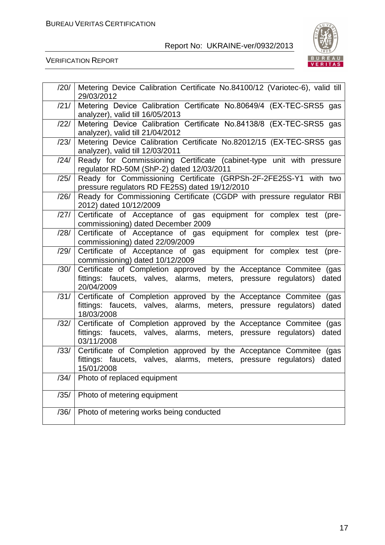

VERIFICATION REPORT

| /20/ | Metering Device Calibration Certificate No.84100/12 (Variotec-6), valid till<br>29/03/2012                                                                   |
|------|--------------------------------------------------------------------------------------------------------------------------------------------------------------|
| /21/ | Metering Device Calibration Certificate No.80649/4 (EX-TEC-SRS5 gas<br>analyzer), valid till 16/05/2013                                                      |
| /22/ | Metering Device Calibration Certificate No.84138/8 (EX-TEC-SRS5 gas<br>analyzer), valid till 21/04/2012                                                      |
| /23/ | Metering Device Calibration Certificate No.82012/15 (EX-TEC-SRS5 gas<br>analyzer), valid till 12/03/2011                                                     |
| /24/ | Ready for Commissioning Certificate (cabinet-type unit with pressure<br>regulator RD-50M (ShP-2) dated 12/03/2011                                            |
| /25/ | Ready for Commissioning Certificate (GRPSh-2F-2FE25S-Y1 with two<br>pressure regulators RD FE25S) dated 19/12/2010                                           |
| /26/ | Ready for Commissioning Certificate (CGDP with pressure regulator RBI<br>2012) dated 10/12/2009                                                              |
| /27/ | Certificate of Acceptance of gas equipment for complex test (pre-<br>commissioning) dated December 2009                                                      |
| /28/ | Certificate of Acceptance of gas equipment for complex test (pre-<br>commissioning) dated 22/09/2009                                                         |
| /29/ | Certificate of Acceptance of gas equipment for complex test (pre-<br>commissioning) dated 10/12/2009                                                         |
| /30/ | Certificate of Completion approved by the Acceptance Commitee (gas<br>fittings: faucets, valves, alarms, meters, pressure regulators) dated<br>20/04/2009    |
| /31/ | Certificate of Completion approved by the Acceptance Commitee (gas<br>fittings: faucets, valves, alarms, meters, pressure regulators) dated<br>18/03/2008    |
| /32/ | Certificate of Completion approved by the Acceptance Commitee (gas<br>fittings: faucets, valves, alarms, meters, pressure regulators) dated<br>03/11/2008    |
| /33/ | Certificate of Completion approved by the Acceptance Commitee (gas<br>fittings: faucets, valves, alarms, meters, pressure regulators)<br>dated<br>15/01/2008 |
| /34/ | Photo of replaced equipment                                                                                                                                  |
| /35/ | Photo of metering equipment                                                                                                                                  |
| /36/ | Photo of metering works being conducted                                                                                                                      |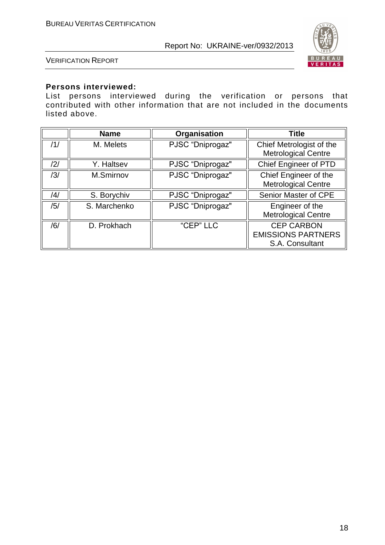

VERIFICATION REPORT

#### **Persons interviewed:**

List persons interviewed during the verification or persons that contributed with other information that are not included in the documents listed above.

|     | <b>Name</b>  | Organisation     | <b>Title</b>                                                      |
|-----|--------------|------------------|-------------------------------------------------------------------|
| /1/ | M. Melets    | PJSC "Dniprogaz" | Chief Metrologist of the<br><b>Metrological Centre</b>            |
| /2/ | Y. Haltsev   | PJSC "Dniprogaz" | <b>Chief Engineer of PTD</b>                                      |
| /3/ | M.Smirnov    | PJSC "Dniprogaz" | Chief Engineer of the<br><b>Metrological Centre</b>               |
| /4/ | S. Borychiv  | PJSC "Dniprogaz" | Senior Master of CPE                                              |
| /5/ | S. Marchenko | PJSC "Dniprogaz" | Engineer of the<br><b>Metrological Centre</b>                     |
| /6/ | D. Prokhach  | "CEP" LLC        | <b>CEP CARBON</b><br><b>EMISSIONS PARTNERS</b><br>S.A. Consultant |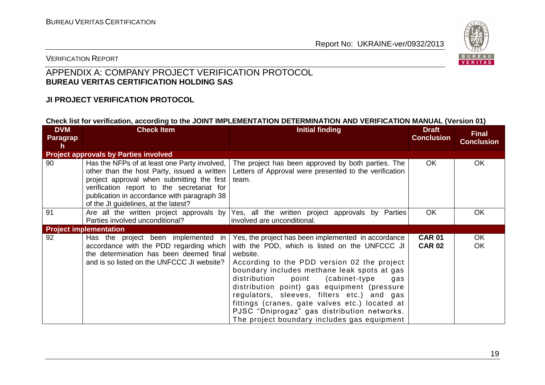

#### VERIFICATION REPORT

#### APPENDIX A: COMPANY PROJECT VERIFICATION PROTOCOL **BUREAU VERITAS CERTIFICATION HOLDING SAS**

#### **JI PROJECT VERIFICATION PROTOCOL**

#### **Check list for verification, according to the JOINT IMPLEMENTATION DETERMINATION AND VERIFICATION MANUAL (Version 01)**

| <b>DVM</b><br>Paragrap<br>h | <b>Check Item</b>                                                                                                                                                                                                                                                              | <b>Initial finding</b>                                                                                                                                                                                                                                                                                                                                                                                                                                                                                         | <b>Draft</b><br><b>Conclusion</b> | <b>Final</b><br><b>Conclusion</b> |
|-----------------------------|--------------------------------------------------------------------------------------------------------------------------------------------------------------------------------------------------------------------------------------------------------------------------------|----------------------------------------------------------------------------------------------------------------------------------------------------------------------------------------------------------------------------------------------------------------------------------------------------------------------------------------------------------------------------------------------------------------------------------------------------------------------------------------------------------------|-----------------------------------|-----------------------------------|
|                             | <b>Project approvals by Parties involved</b>                                                                                                                                                                                                                                   |                                                                                                                                                                                                                                                                                                                                                                                                                                                                                                                |                                   |                                   |
| 90                          | Has the NFPs of at least one Party involved,<br>other than the host Party, issued a written<br>project approval when submitting the first<br>verification report to the secretariat for<br>publication in accordance with paragraph 38<br>of the JI guidelines, at the latest? | The project has been approved by both parties. The<br>Letters of Approval were presented to the verification<br>team.                                                                                                                                                                                                                                                                                                                                                                                          | OK.                               | OK                                |
| 91                          | Are all the written project approvals by<br>Parties involved unconditional?                                                                                                                                                                                                    | Yes, all the written project approvals by Parties<br>involved are unconditional.                                                                                                                                                                                                                                                                                                                                                                                                                               | <b>OK</b>                         | OK                                |
|                             | <b>Project implementation</b>                                                                                                                                                                                                                                                  |                                                                                                                                                                                                                                                                                                                                                                                                                                                                                                                |                                   |                                   |
| 92                          | Has the project been implemented in<br>accordance with the PDD regarding which<br>the determination has been deemed final<br>and is so listed on the UNFCCC JI website?                                                                                                        | Yes, the project has been implemented in accordance<br>with the PDD, which is listed on the UNFCCC JI<br>website.<br>According to the PDD version 02 the project<br>boundary includes methane leak spots at gas<br>distribution<br>point<br>(cabinet-type)<br>gas<br>distribution point) gas equipment (pressure<br>regulators, sleeves, filters etc.) and gas<br>fittings (cranes, gate valves etc.) located at<br>PJSC "Dniprogaz" gas distribution networks.<br>The project boundary includes gas equipment | <b>CAR 01</b><br><b>CAR 02</b>    | OK<br>OK                          |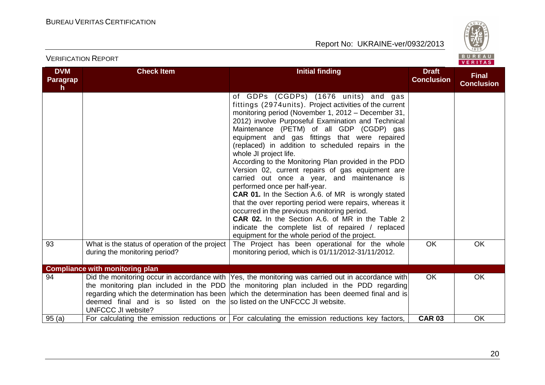

| <b>DVM</b><br>Paragrap<br>h. | <b>Check Item</b><br><b>Initial finding</b>                                                          |                                                                                                                                                                                                                                                                                                                                                                                                                                                                                                                                                                                                                                                                                                                                                                                                                                                                                                                                 | <b>Draft</b><br><b>Conclusion</b> | <b>Final</b><br><b>Conclusion</b> |
|------------------------------|------------------------------------------------------------------------------------------------------|---------------------------------------------------------------------------------------------------------------------------------------------------------------------------------------------------------------------------------------------------------------------------------------------------------------------------------------------------------------------------------------------------------------------------------------------------------------------------------------------------------------------------------------------------------------------------------------------------------------------------------------------------------------------------------------------------------------------------------------------------------------------------------------------------------------------------------------------------------------------------------------------------------------------------------|-----------------------------------|-----------------------------------|
|                              |                                                                                                      | of GDPs (CGDPs) (1676 units) and gas<br>fittings (2974 units). Project activities of the current<br>monitoring period (November 1, 2012 – December 31,<br>2012) involve Purposeful Examination and Technical<br>Maintenance (PETM) of all GDP (CGDP) gas<br>equipment and gas fittings that were repaired<br>(replaced) in addition to scheduled repairs in the<br>whole JI project life.<br>According to the Monitoring Plan provided in the PDD<br>Version 02, current repairs of gas equipment are<br>carried out once a year, and maintenance is<br>performed once per half-year.<br><b>CAR 01.</b> In the Section A.6. of MR is wrongly stated<br>that the over reporting period were repairs, whereas it<br>occurred in the previous monitoring period.<br><b>CAR 02.</b> In the Section A.6. of MR in the Table 2<br>indicate the complete list of repaired / replaced<br>equipment for the whole period of the project. |                                   |                                   |
| 93                           | What is the status of operation of the project<br>during the monitoring period?                      | The Project has been operational for the whole<br>monitoring period, which is 01/11/2012-31/11/2012.                                                                                                                                                                                                                                                                                                                                                                                                                                                                                                                                                                                                                                                                                                                                                                                                                            | <b>OK</b>                         | OK                                |
|                              | <b>Compliance with monitoring plan</b>                                                               |                                                                                                                                                                                                                                                                                                                                                                                                                                                                                                                                                                                                                                                                                                                                                                                                                                                                                                                                 |                                   |                                   |
| 94                           | deemed final and is so listed on the solisted on the UNFCCC JI website.<br><b>UNFCCC JI website?</b> | Did the monitoring occur in accordance with Yes, the monitoring was carried out in accordance with<br>the monitoring plan included in the PDD the monitoring plan included in the PDD regarding<br>regarding which the determination has been which the determination has been deemed final and is                                                                                                                                                                                                                                                                                                                                                                                                                                                                                                                                                                                                                              | <b>OK</b>                         | OK                                |
| 95(a)                        |                                                                                                      | For calculating the emission reductions or $\vert$ For calculating the emission reductions key factors,                                                                                                                                                                                                                                                                                                                                                                                                                                                                                                                                                                                                                                                                                                                                                                                                                         | <b>CAR 03</b>                     | <b>OK</b>                         |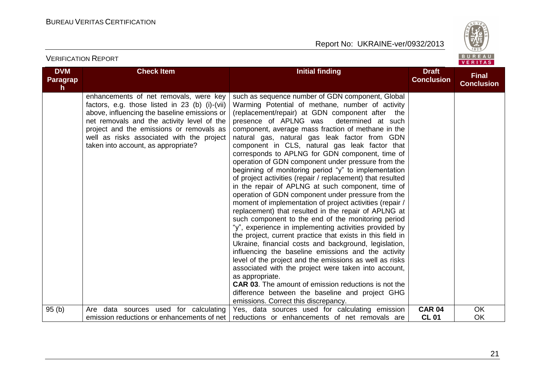VERIFICATION REPORT

Report No: UKRAINE-ver/0932/2013



| <b>DVM</b><br>Paragrap<br>h. | <b>Check Item</b>                                                                                                                                                                                                                                                                                                      | <b>Initial finding</b>                                                                                                                                                                                                                                                                                                                                                                                                                                                                                                                                                                                                                                                                                                                                                                                                                                                                                                                                                                                                                                                                                                                                                                                                                                                                                                                                                                                                      | <b>Draft</b><br><b>Conclusion</b> | <b>Final</b><br><b>Conclusion</b> |
|------------------------------|------------------------------------------------------------------------------------------------------------------------------------------------------------------------------------------------------------------------------------------------------------------------------------------------------------------------|-----------------------------------------------------------------------------------------------------------------------------------------------------------------------------------------------------------------------------------------------------------------------------------------------------------------------------------------------------------------------------------------------------------------------------------------------------------------------------------------------------------------------------------------------------------------------------------------------------------------------------------------------------------------------------------------------------------------------------------------------------------------------------------------------------------------------------------------------------------------------------------------------------------------------------------------------------------------------------------------------------------------------------------------------------------------------------------------------------------------------------------------------------------------------------------------------------------------------------------------------------------------------------------------------------------------------------------------------------------------------------------------------------------------------------|-----------------------------------|-----------------------------------|
|                              | enhancements of net removals, were key<br>factors, e.g. those listed in 23 (b) (i)-(vii)<br>above, influencing the baseline emissions or<br>net removals and the activity level of the<br>project and the emissions or removals as<br>well as risks associated with the project<br>taken into account, as appropriate? | such as sequence number of GDN component, Global<br>Warming Potential of methane, number of activity<br>(replacement/repair) at GDN component after the<br>presence of APLNG was<br>determined at such<br>component, average mass fraction of methane in the<br>natural gas, natural gas leak factor from GDN<br>component in CLS, natural gas leak factor that<br>corresponds to APLNG for GDN component, time of<br>operation of GDN component under pressure from the<br>beginning of monitoring period "y" to implementation<br>of project activities (repair / replacement) that resulted<br>in the repair of APLNG at such component, time of<br>operation of GDN component under pressure from the<br>moment of implementation of project activities (repair /<br>replacement) that resulted in the repair of APLNG at<br>such component to the end of the monitoring period<br>"y", experience in implementing activities provided by<br>the project, current practice that exists in this field in<br>Ukraine, financial costs and background, legislation,<br>influencing the baseline emissions and the activity<br>level of the project and the emissions as well as risks<br>associated with the project were taken into account,<br>as appropriate.<br><b>CAR 03.</b> The amount of emission reductions is not the<br>difference between the baseline and project GHG<br>emissions. Correct this discrepancy. |                                   |                                   |
| 95(b)                        | Are data sources used for calculating<br>emission reductions or enhancements of net                                                                                                                                                                                                                                    | Yes, data sources used for calculating emission<br>reductions or enhancements of net removals are                                                                                                                                                                                                                                                                                                                                                                                                                                                                                                                                                                                                                                                                                                                                                                                                                                                                                                                                                                                                                                                                                                                                                                                                                                                                                                                           | <b>CAR 04</b><br><b>CL 01</b>     | OK<br>OK                          |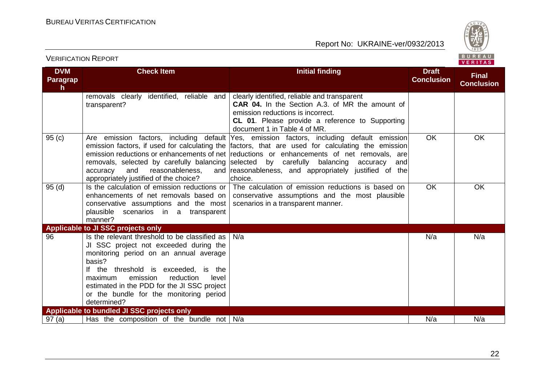

#### VERIFICATION REPORT

| <b>DVM</b><br><b>Paragrap</b><br>h. | <b>Check Item</b>                                                                                                                                                                                                                                                                                                                         | <b>Initial finding</b>                                                                                                                                                                                                                                                                                                                                                                                                                                         | <b>Draft</b><br><b>Conclusion</b> | <b>Final</b><br><b>Conclusion</b> |
|-------------------------------------|-------------------------------------------------------------------------------------------------------------------------------------------------------------------------------------------------------------------------------------------------------------------------------------------------------------------------------------------|----------------------------------------------------------------------------------------------------------------------------------------------------------------------------------------------------------------------------------------------------------------------------------------------------------------------------------------------------------------------------------------------------------------------------------------------------------------|-----------------------------------|-----------------------------------|
|                                     | removals clearly identified, reliable and<br>transparent?                                                                                                                                                                                                                                                                                 | clearly identified, reliable and transparent<br><b>CAR 04.</b> In the Section A.3, of MR the amount of<br>emission reductions is incorrect.<br><b>CL 01.</b> Please provide a reference to Supporting<br>document 1 in Table 4 of MR.                                                                                                                                                                                                                          |                                   |                                   |
| 95(c)                               | accuracy<br>and<br>reasonableness,<br>appropriately justified of the choice?                                                                                                                                                                                                                                                              | Are emission factors, including default Yes, emission factors, including default emission<br>emission factors, if used for calculating the factors, that are used for calculating the emission<br>emission reductions or enhancements of net reductions or enhancements of net removals, are<br>removals, selected by carefully balancing selected by carefully balancing accuracy<br>and<br>and reasonableness, and appropriately justified of the<br>choice. | OK                                | <b>OK</b>                         |
| 95(d)                               | Is the calculation of emission reductions or<br>enhancements of net removals based on<br>conservative assumptions and the most<br>plausible scenarios in a transparent<br>manner?                                                                                                                                                         | The calculation of emission reductions is based on<br>conservative assumptions and the most plausible<br>scenarios in a transparent manner.                                                                                                                                                                                                                                                                                                                    | <b>OK</b>                         | OK                                |
|                                     | Applicable to JI SSC projects only                                                                                                                                                                                                                                                                                                        |                                                                                                                                                                                                                                                                                                                                                                                                                                                                |                                   |                                   |
| 96                                  | Is the relevant threshold to be classified as<br>JI SSC project not exceeded during the<br>monitoring period on an annual average<br>basis?<br>If the threshold is exceeded, is the<br>emission<br>maximum<br>reduction<br>level<br>estimated in the PDD for the JI SSC project<br>or the bundle for the monitoring period<br>determined? | N/a                                                                                                                                                                                                                                                                                                                                                                                                                                                            | N/a                               | N/a                               |
|                                     | Applicable to bundled JI SSC projects only                                                                                                                                                                                                                                                                                                |                                                                                                                                                                                                                                                                                                                                                                                                                                                                |                                   |                                   |
| 97(a)                               | Has the composition of the bundle not $\vert$ N/a                                                                                                                                                                                                                                                                                         |                                                                                                                                                                                                                                                                                                                                                                                                                                                                | N/a                               | N/a                               |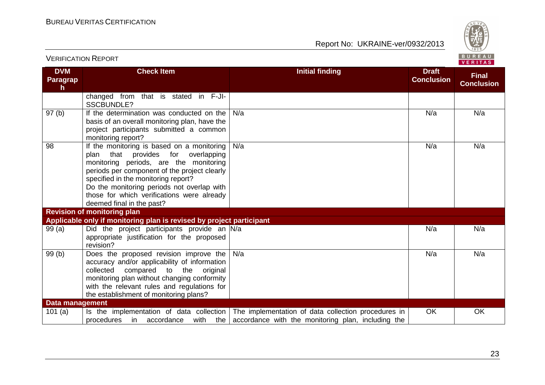VERIFICATION REPORT

Report No: UKRAINE-ver/0932/2013



| <b>DVM</b><br>Paragrap<br>h | <b>Check Item</b>                                                                                                                                                                                                                                                                                                                          | <b>Initial finding</b>                                                                                                                                      | <b>Draft</b><br><b>Conclusion</b> | <b>Final</b><br><b>Conclusion</b> |
|-----------------------------|--------------------------------------------------------------------------------------------------------------------------------------------------------------------------------------------------------------------------------------------------------------------------------------------------------------------------------------------|-------------------------------------------------------------------------------------------------------------------------------------------------------------|-----------------------------------|-----------------------------------|
|                             | changed from that is stated in F-JI-<br>SSCBUNDLE?                                                                                                                                                                                                                                                                                         |                                                                                                                                                             |                                   |                                   |
| 97(b)                       | If the determination was conducted on the<br>basis of an overall monitoring plan, have the<br>project participants submitted a common<br>monitoring report?                                                                                                                                                                                | N/a                                                                                                                                                         | N/a                               | N/a                               |
| 98                          | If the monitoring is based on a monitoring<br>plan that provides for overlapping<br>monitoring periods, are the monitoring<br>periods per component of the project clearly<br>specified in the monitoring report?<br>Do the monitoring periods not overlap with<br>those for which verifications were already<br>deemed final in the past? | N/a                                                                                                                                                         | N/a                               | N/a                               |
|                             | <b>Revision of monitoring plan</b>                                                                                                                                                                                                                                                                                                         |                                                                                                                                                             |                                   |                                   |
|                             | Applicable only if monitoring plan is revised by project participant                                                                                                                                                                                                                                                                       |                                                                                                                                                             |                                   |                                   |
| 99(a)                       | Did the project participants provide an N/a<br>appropriate justification for the proposed<br>revision?                                                                                                                                                                                                                                     |                                                                                                                                                             | N/a                               | N/a                               |
| 99(b)                       | Does the proposed revision improve the<br>accuracy and/or applicability of information<br>compared to the original<br>collected<br>monitoring plan without changing conformity<br>with the relevant rules and regulations for<br>the establishment of monitoring plans?                                                                    | N/a                                                                                                                                                         | N/a                               | N/a                               |
| <b>Data management</b>      |                                                                                                                                                                                                                                                                                                                                            |                                                                                                                                                             |                                   |                                   |
| 101(a)                      | procedures in<br>accordance                                                                                                                                                                                                                                                                                                                | Is the implementation of data collection The implementation of data collection procedures in<br>with the accordance with the monitoring plan, including the | <b>OK</b>                         | OK                                |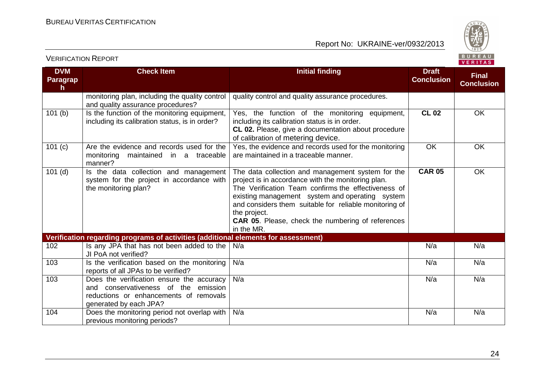VERIFICATION REPORT

Report No: UKRAINE-ver/0932/2013



| <b>DVM</b><br><b>Paragrap</b><br>h. | <b>Check Item</b>                                                                                                                                        | <b>Initial finding</b>                                                                                                                                                                                                                                                                                                                                                | <b>Draft</b><br><b>Conclusion</b> | <b>Final</b><br><b>Conclusion</b> |
|-------------------------------------|----------------------------------------------------------------------------------------------------------------------------------------------------------|-----------------------------------------------------------------------------------------------------------------------------------------------------------------------------------------------------------------------------------------------------------------------------------------------------------------------------------------------------------------------|-----------------------------------|-----------------------------------|
|                                     | monitoring plan, including the quality control<br>and quality assurance procedures?                                                                      | quality control and quality assurance procedures.                                                                                                                                                                                                                                                                                                                     |                                   |                                   |
| 101(b)                              | Is the function of the monitoring equipment,<br>including its calibration status, is in order?                                                           | Yes, the function of the monitoring equipment,<br>including its calibration status is in order.<br>CL 02. Please, give a documentation about procedure<br>of calibration of metering device.                                                                                                                                                                          | <b>CL 02</b>                      | OK                                |
| 101 $(c)$                           | Are the evidence and records used for the<br>maintained in a traceable<br>monitoring<br>manner?                                                          | Yes, the evidence and records used for the monitoring<br>are maintained in a traceable manner.                                                                                                                                                                                                                                                                        | <b>OK</b>                         | OK                                |
| $101$ (d)                           | Is the data collection and management<br>system for the project in accordance with<br>the monitoring plan?                                               | The data collection and management system for the<br>project is in accordance with the monitoring plan.<br>The Verification Team confirms the effectiveness of<br>existing management system and operating system<br>and considers them suitable for reliable monitoring of<br>the project.<br><b>CAR 05.</b> Please, check the numbering of references<br>in the MR. | <b>CAR 05</b>                     | OK                                |
|                                     | Verification regarding programs of activities (additional elements for assessment)                                                                       |                                                                                                                                                                                                                                                                                                                                                                       |                                   |                                   |
| 102                                 | Is any JPA that has not been added to the<br>JI PoA not verified?                                                                                        | N/a                                                                                                                                                                                                                                                                                                                                                                   | N/a                               | N/a                               |
| 103                                 | Is the verification based on the monitoring<br>reports of all JPAs to be verified?                                                                       | N/a                                                                                                                                                                                                                                                                                                                                                                   | N/a                               | N/a                               |
| 103                                 | Does the verification ensure the accuracy<br>and conservativeness of the<br>emission<br>reductions or enhancements of removals<br>generated by each JPA? | N/a                                                                                                                                                                                                                                                                                                                                                                   | N/a                               | N/a                               |
| 104                                 | Does the monitoring period not overlap with<br>previous monitoring periods?                                                                              | N/a                                                                                                                                                                                                                                                                                                                                                                   | N/a                               | N/a                               |

24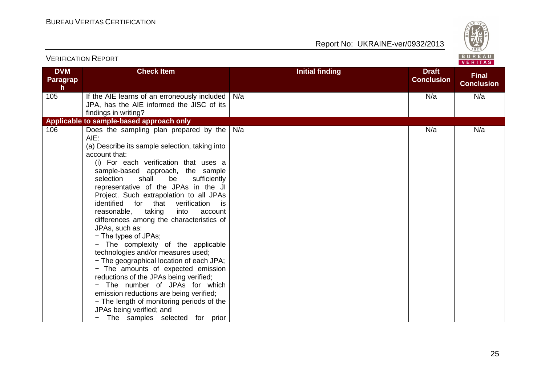

|                              | <b>VERIFICATION REPORT</b>                                                                                                                                                                                                                                                                                                                                                                                                                                                                                                                                                                                                                                                                                                                                                                                                                                                                                      | BUREAU<br>VERITAS      |                                   |                                   |  |
|------------------------------|-----------------------------------------------------------------------------------------------------------------------------------------------------------------------------------------------------------------------------------------------------------------------------------------------------------------------------------------------------------------------------------------------------------------------------------------------------------------------------------------------------------------------------------------------------------------------------------------------------------------------------------------------------------------------------------------------------------------------------------------------------------------------------------------------------------------------------------------------------------------------------------------------------------------|------------------------|-----------------------------------|-----------------------------------|--|
| <b>DVM</b><br>Paragrap<br>h. | <b>Check Item</b>                                                                                                                                                                                                                                                                                                                                                                                                                                                                                                                                                                                                                                                                                                                                                                                                                                                                                               | <b>Initial finding</b> | <b>Draft</b><br><b>Conclusion</b> | <b>Final</b><br><b>Conclusion</b> |  |
| 105                          | If the AIE learns of an erroneously included<br>JPA, has the AIE informed the JISC of its<br>findings in writing?                                                                                                                                                                                                                                                                                                                                                                                                                                                                                                                                                                                                                                                                                                                                                                                               | N/a                    | N/a                               | N/a                               |  |
|                              | Applicable to sample-based approach only                                                                                                                                                                                                                                                                                                                                                                                                                                                                                                                                                                                                                                                                                                                                                                                                                                                                        |                        |                                   |                                   |  |
| 106                          | Does the sampling plan prepared by the<br>AIE:<br>(a) Describe its sample selection, taking into<br>account that:<br>(i) For each verification that uses a<br>sample-based approach, the sample<br>selection<br>shall<br>sufficiently<br>be<br>representative of the JPAs in the JI<br>Project. Such extrapolation to all JPAs<br>identified<br>verification<br>for that<br>is:<br>reasonable,<br>taking<br>into<br>account<br>differences among the characteristics of<br>JPAs, such as:<br>- The types of JPAs;<br>The complexity of the applicable<br>technologies and/or measures used;<br>- The geographical location of each JPA;<br>- The amounts of expected emission<br>reductions of the JPAs being verified;<br>- The number of JPAs for which<br>emission reductions are being verified;<br>- The length of monitoring periods of the<br>JPAs being verified; and<br>The samples selected for prior | N/a                    | N/a                               | N/a                               |  |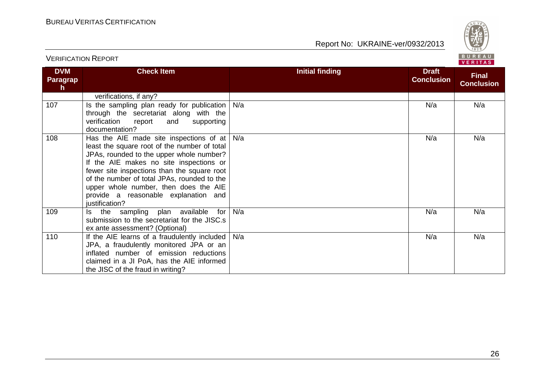

| <b>DVM</b><br><b>Paragrap</b><br>$\mathsf{h}$ | <b>Check Item</b>                                                                                                                                                                                                                                                                                                                                                               | <b>Initial finding</b> | <b>Draft</b><br><b>Conclusion</b> | <b>Final</b><br><b>Conclusion</b> |
|-----------------------------------------------|---------------------------------------------------------------------------------------------------------------------------------------------------------------------------------------------------------------------------------------------------------------------------------------------------------------------------------------------------------------------------------|------------------------|-----------------------------------|-----------------------------------|
|                                               | verifications, if any?                                                                                                                                                                                                                                                                                                                                                          |                        |                                   |                                   |
| 107                                           | Is the sampling plan ready for publication<br>through the secretariat along with the<br>verification<br>report<br>and<br>supporting<br>documentation?                                                                                                                                                                                                                           | N/a                    | N/a                               | N/a                               |
| 108                                           | Has the AIE made site inspections of at<br>least the square root of the number of total<br>JPAs, rounded to the upper whole number?<br>If the AIE makes no site inspections or<br>fewer site inspections than the square root<br>of the number of total JPAs, rounded to the<br>upper whole number, then does the AIE<br>provide a reasonable explanation and<br>justification? | N/a                    | N/a                               | N/a                               |
| 109                                           | for<br>Is the sampling plan available<br>submission to the secretariat for the JISC.s<br>ex ante assessment? (Optional)                                                                                                                                                                                                                                                         | N/a                    | N/a                               | N/a                               |
| 110                                           | If the AIE learns of a fraudulently included<br>JPA, a fraudulently monitored JPA or an<br>inflated number of emission reductions<br>claimed in a JI PoA, has the AIE informed<br>the JISC of the fraud in writing?                                                                                                                                                             | N/a                    | N/a                               | N/a                               |

VERIFICATION REPORT